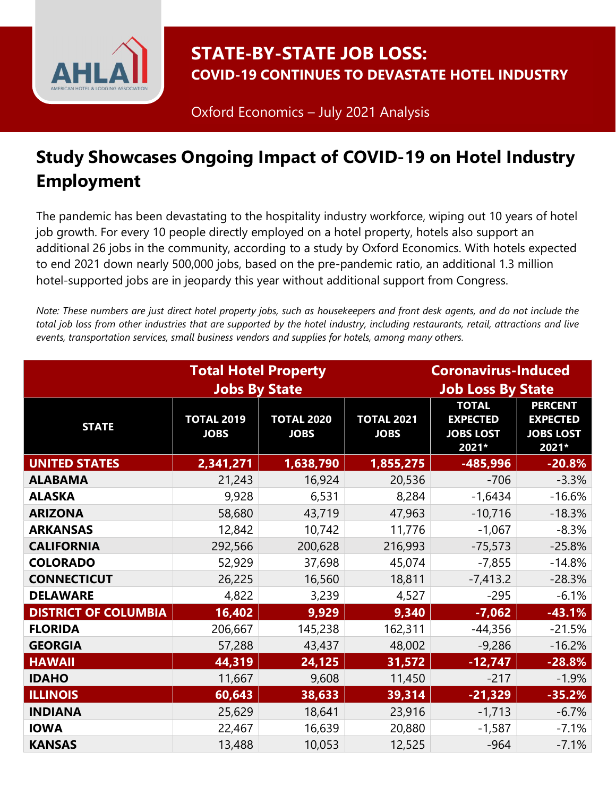

STATE-BY-STATE JOB LOSS: COVID-19 CONTINUES TO DEVASTATE HOTEL INDUSTRY

Oxford Economics – July 2021 Analysis

## Study Showcases Ongoing Impact of COVID-19 on Hotel Industry Employment

The pandemic has been devastating to the hospitality industry workforce, wiping out 10 years of hotel job growth. For every 10 people directly employed on a hotel property, hotels also support an additional 26 jobs in the community, according to a study by Oxford Economics. With hotels expected to end 2021 down nearly 500,000 jobs, based on the pre-pandemic ratio, an additional 1.3 million hotel-supported jobs are in jeopardy this year without additional support from Congress.

Note: These numbers are just direct hotel property jobs, such as housekeepers and front desk agents, and do not include the total job loss from other industries that are supported by the hotel industry, including restaurants, retail, attractions and live events, transportation services, small business vendors and supplies for hotels, among many others.

|                             | <b>Coronavirus-Induced</b>                          |                                  |                                  |                                                              |                                                                |
|-----------------------------|-----------------------------------------------------|----------------------------------|----------------------------------|--------------------------------------------------------------|----------------------------------------------------------------|
|                             | <b>Total Hotel Property</b><br><b>Jobs By State</b> |                                  | <b>Job Loss By State</b>         |                                                              |                                                                |
| <b>STATE</b>                | <b>TOTAL 2019</b><br><b>JOBS</b>                    | <b>TOTAL 2020</b><br><b>JOBS</b> | <b>TOTAL 2021</b><br><b>JOBS</b> | <b>TOTAL</b><br><b>EXPECTED</b><br><b>JOBS LOST</b><br>2021* | <b>PERCENT</b><br><b>EXPECTED</b><br><b>JOBS LOST</b><br>2021* |
| <b>UNITED STATES</b>        | 2,341,271                                           | 1,638,790                        | 1,855,275                        | -485,996                                                     | $-20.8%$                                                       |
| <b>ALABAMA</b>              | 21,243                                              | 16,924                           | 20,536                           | $-706$                                                       | $-3.3%$                                                        |
| <b>ALASKA</b>               | 9,928                                               | 6,531                            | 8,284                            | $-1,6434$                                                    | $-16.6%$                                                       |
| <b>ARIZONA</b>              | 58,680                                              | 43,719                           | 47,963                           | $-10,716$                                                    | $-18.3%$                                                       |
| <b>ARKANSAS</b>             | 12,842                                              | 10,742                           | 11,776                           | $-1,067$                                                     | $-8.3%$                                                        |
| <b>CALIFORNIA</b>           | 292,566                                             | 200,628                          | 216,993                          | $-75,573$                                                    | $-25.8%$                                                       |
| <b>COLORADO</b>             | 52,929                                              | 37,698                           | 45,074                           | $-7,855$                                                     | $-14.8%$                                                       |
| <b>CONNECTICUT</b>          | 26,225                                              | 16,560                           | 18,811                           | $-7,413.2$                                                   | $-28.3%$                                                       |
| <b>DELAWARE</b>             | 4,822                                               | 3,239                            | 4,527                            | $-295$                                                       | $-6.1%$                                                        |
| <b>DISTRICT OF COLUMBIA</b> | 16,402                                              | 9,929                            | 9,340                            | $-7,062$                                                     | $-43.1%$                                                       |
| <b>FLORIDA</b>              | 206,667                                             | 145,238                          | 162,311                          | $-44,356$                                                    | $-21.5%$                                                       |
| <b>GEORGIA</b>              | 57,288                                              | 43,437                           | 48,002                           | $-9,286$                                                     | $-16.2%$                                                       |
| <b>HAWAII</b>               | 44,319                                              | 24,125                           | 31,572                           | $-12,747$                                                    | $-28.8%$                                                       |
| <b>IDAHO</b>                | 11,667                                              | 9,608                            | 11,450                           | $-217$                                                       | $-1.9%$                                                        |
| <b>ILLINOIS</b>             | 60,643                                              | 38,633                           | 39,314                           | $-21,329$                                                    | $-35.2%$                                                       |
| <b>INDIANA</b>              | 25,629                                              | 18,641                           | 23,916                           | $-1,713$                                                     | $-6.7%$                                                        |
| <b>IOWA</b>                 | 22,467                                              | 16,639                           | 20,880                           | $-1,587$                                                     | $-7.1%$                                                        |
| <b>KANSAS</b>               | 13,488                                              | 10,053                           | 12,525                           | $-964$                                                       | $-7.1%$                                                        |